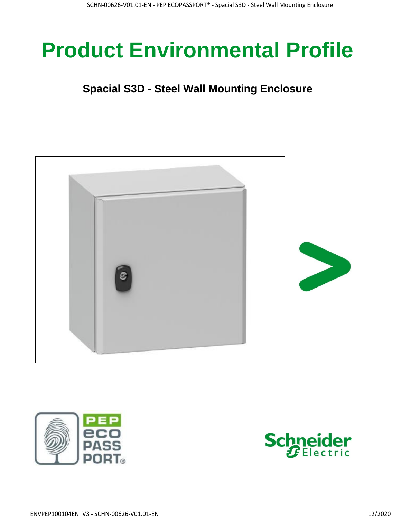# **Product Environmental Profile**

### **Spacial S3D - Steel Wall Mounting Enclosure**





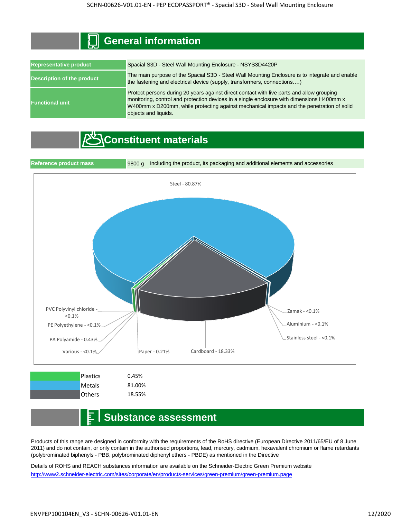#### **General information**

| <b>Representative product</b>     | Spacial S3D - Steel Wall Mounting Enclosure - NSYS3D4420P                                                                                                                                                                                                                                                   |
|-----------------------------------|-------------------------------------------------------------------------------------------------------------------------------------------------------------------------------------------------------------------------------------------------------------------------------------------------------------|
| <b>Description of the product</b> | The main purpose of the Spacial S3D - Steel Wall Mounting Enclosure is to integrate and enable<br>the fastening and electrical device (supply, transformers, connections)                                                                                                                                   |
| <b>Functional unit</b>            | Protect persons during 20 years against direct contact with live parts and allow grouping<br>monitoring, control and protection devices in a single enclosure with dimensions H400mm x<br>W400mm x D200mm, while protecting against mechanical impacts and the penetration of solid<br>objects and liquids. |

## **Constituent materials**



| <b>Plastics</b> | 0.45%  |
|-----------------|--------|
| Metals          | 81.00% |
| Others          | 18.55% |

#### **Substance assessment**

Products of this range are designed in conformity with the requirements of the RoHS directive (European Directive 2011/65/EU of 8 June 2011) and do not contain, or only contain in the authorised proportions, lead, mercury, cadmium, hexavalent chromium or flame retardants (polybrominated biphenyls - PBB, polybrominated diphenyl ethers - PBDE) as mentioned in the Directive

Details of ROHS and REACH substances information are available on the Schneider-Electric Green Premium website [http://www2.schneide](http://www2.schneider-electric.com/sites/corporate/en/products-services/green-premium/green-premium.page)r-electric.com/sites/corporate/en/products-services/green-premium/green-premium.page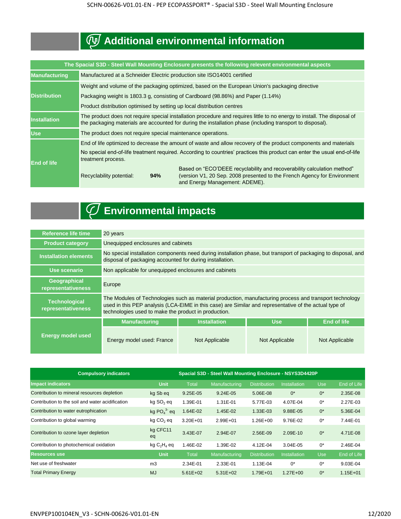## **Additional environmental information**

| The Spacial S3D - Steel Wall Mounting Enclosure presents the following relevent environmental aspects |                                                                                                                                                                                                                                        |                                                                                                                                                                                       |  |  |  |  |
|-------------------------------------------------------------------------------------------------------|----------------------------------------------------------------------------------------------------------------------------------------------------------------------------------------------------------------------------------------|---------------------------------------------------------------------------------------------------------------------------------------------------------------------------------------|--|--|--|--|
| <b>Manufacturing</b>                                                                                  |                                                                                                                                                                                                                                        | Manufactured at a Schneider Electric production site ISO14001 certified                                                                                                               |  |  |  |  |
|                                                                                                       | Weight and volume of the packaging optimized, based on the European Union's packaging directive                                                                                                                                        |                                                                                                                                                                                       |  |  |  |  |
| <b>Distribution</b>                                                                                   | Packaging weight is 1803.3 g, consisting of Cardboard (98.86%) and Paper (1.14%)                                                                                                                                                       |                                                                                                                                                                                       |  |  |  |  |
|                                                                                                       | Product distribution optimised by setting up local distribution centres                                                                                                                                                                |                                                                                                                                                                                       |  |  |  |  |
| <b>Installation</b>                                                                                   | The product does not require special installation procedure and requires little to no energy to install. The disposal of<br>the packaging materials are accounted for during the installation phase (including transport to disposal). |                                                                                                                                                                                       |  |  |  |  |
| <b>Use</b>                                                                                            | The product does not require special maintenance operations.                                                                                                                                                                           |                                                                                                                                                                                       |  |  |  |  |
|                                                                                                       | End of life optimized to decrease the amount of waste and allow recovery of the product components and materials                                                                                                                       |                                                                                                                                                                                       |  |  |  |  |
| <b>End of life</b>                                                                                    | No special end-of-life treatment required. According to countries' practices this product can enter the usual end-of-life<br>treatment process.                                                                                        |                                                                                                                                                                                       |  |  |  |  |
|                                                                                                       | Recyclability potential:<br>94%                                                                                                                                                                                                        | Based on "ECO'DEEE recyclability and recoverability calculation method"<br>(version V1, 20 Sep. 2008 presented to the French Agency for Environment<br>and Energy Management: ADEME). |  |  |  |  |

# **Environmental impacts**

| Reference life time                        | 20 years                                                                                                                                                                                                                                                                  |                     |                |                    |  |
|--------------------------------------------|---------------------------------------------------------------------------------------------------------------------------------------------------------------------------------------------------------------------------------------------------------------------------|---------------------|----------------|--------------------|--|
| <b>Product category</b>                    | Unequipped enclosures and cabinets                                                                                                                                                                                                                                        |                     |                |                    |  |
| <b>Installation elements</b>               | No special installation components need during installation phase, but transport of packaging to disposal, and<br>disposal of packaging accounted for during installation.                                                                                                |                     |                |                    |  |
| Use scenario                               | Non applicable for unequipped enclosures and cabinets                                                                                                                                                                                                                     |                     |                |                    |  |
| Geographical<br>representativeness         | Europe                                                                                                                                                                                                                                                                    |                     |                |                    |  |
| <b>Technological</b><br>representativeness | The Modules of Technologies such as material production, manufacturing process and transport technology<br>used in this PEP analysis (LCA-EIME in this case) are Similar and representative of the actual type of<br>technologies used to make the product in production. |                     |                |                    |  |
|                                            | <b>Manufacturing</b>                                                                                                                                                                                                                                                      | <b>Installation</b> | <b>Use</b>     | <b>End of life</b> |  |
| <b>Energy model used</b>                   | Energy model used: France                                                                                                                                                                                                                                                 | Not Applicable      | Not Applicable | Not Applicable     |  |

| <b>Compulsory indicators</b>                     | Spacial S3D - Steel Wall Mounting Enclosure - NSYS3D4420P |              |               |                     |                     |            |              |
|--------------------------------------------------|-----------------------------------------------------------|--------------|---------------|---------------------|---------------------|------------|--------------|
| <b>Impact indicators</b>                         | <b>Unit</b>                                               | <b>Total</b> | Manufacturing | <b>Distribution</b> | <b>Installation</b> | <b>Use</b> | End of Life  |
| Contribution to mineral resources depletion      | kg Sb eg                                                  | 9.25E-05     | $9.24E-05$    | 5.06E-08            | $0^*$               | $0^*$      | 2.35E-08     |
| Contribution to the soil and water acidification | kg SO <sub>2</sub> eg                                     | 1.39E-01     | 1.31E-01      | 5.77E-03            | 4.07E-04            | $0^*$      | 2.27E-03     |
| Contribution to water eutrophication             | kg $PO43$ eq                                              | 1.64E-02     | 1.45E-02      | 1.33E-03            | 9.88E-05            | $0^*$      | 5.36E-04     |
| Contribution to global warming                   | $kg CO2$ eq                                               | $3.20E + 01$ | 2.99E+01      | $1.26E + 00$        | 9.76E-02            | $0^*$      | 7.44E-01     |
| Contribution to ozone layer depletion            | kg CFC11<br>eq                                            | 3.43E-07     | 2.94E-07      | 2.56E-09            | 2.09E-10            | $0^*$      | 4.71E-08     |
| Contribution to photochemical oxidation          | $kg C2H4$ eq                                              | 1.46E-02     | 1.39E-02      | 4.12E-04            | 3.04E-05            | $0^*$      | 2.46E-04     |
| <b>Resources use</b>                             | <b>Unit</b>                                               | <b>Total</b> | Manufacturing | <b>Distribution</b> | <b>Installation</b> | <b>Use</b> | End of Life  |
| Net use of freshwater                            | m <sub>3</sub>                                            | 2.34E-01     | 2.33E-01      | 1.13E-04            | $0^*$               | $0^*$      | 9.03E-04     |
| <b>Total Primary Energy</b>                      | <b>MJ</b>                                                 | $5.61E + 02$ | $5.31E + 02$  | 1.79E+01            | $1.27E + 00$        | $0^*$      | $1.15E + 01$ |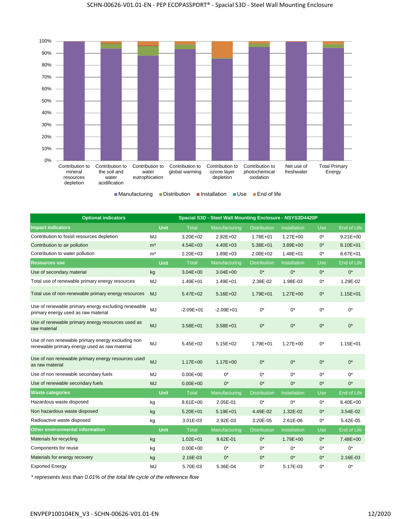

■Manufacturing ■Distribution ■Installation ■Use ■End of life

| <b>Optional indicators</b>                                                                         |                |               | Spacial S3D - Steel Wall Mounting Enclosure - NSYS3D4420P |                     |                     |            |              |
|----------------------------------------------------------------------------------------------------|----------------|---------------|-----------------------------------------------------------|---------------------|---------------------|------------|--------------|
| <b>Impact indicators</b>                                                                           | <b>Unit</b>    | <b>Total</b>  | Manufacturing                                             | <b>Distribution</b> | <b>Installation</b> | <b>Use</b> | End of Life  |
| Contribution to fossil resources depletion                                                         | MJ             | 3.20E+02      | 2.92E+02                                                  | 1.78E+01            | $1.27E + 00$        | $0^*$      | $9.21E + 00$ |
| Contribution to air pollution                                                                      | m <sup>3</sup> | $4.54E + 03$  | 4.40E+03                                                  | $5.38E + 01$        | $3.89E + 00$        | $0^*$      | 8.10E+01     |
| Contribution to water pollution                                                                    | m <sup>3</sup> | $2.20E + 03$  | 1.89E+03                                                  | 2.08E+02            | 1.48E+01            | $0^*$      | 8.67E+01     |
| <b>Resources use</b>                                                                               | <b>Unit</b>    | <b>Total</b>  | Manufacturing                                             | <b>Distribution</b> | <b>Installation</b> | <b>Use</b> | End of Life  |
| Use of secondary material                                                                          | kg             | $3.04E + 00$  | $3.04E + 00$                                              | $0^*$               | $0^*$               | $0^*$      | $0^*$        |
| Total use of renewable primary energy resources                                                    | MJ             | 1.49E+01      | 1.49E+01                                                  | 2.38E-02            | 1.98E-03            | 0*         | 1.29E-02     |
| Total use of non-renewable primary energy resources                                                | <b>MJ</b>      | 5.47E+02      | $5.16E + 02$                                              | $1.79E + 01$        | $1.27E + 00$        | $0^*$      | $1.15E + 01$ |
| Use of renewable primary energy excluding renewable<br>primary energy used as raw material         | MJ             | $-2.09E + 01$ | $-2.09E + 01$                                             | $0^*$               | $0^*$               | $0^*$      | $0^*$        |
| Use of renewable primary energy resources used as<br>raw material                                  | <b>MJ</b>      | $3.58E + 01$  | 3.58E+01                                                  | $0^*$               | $0^*$               | $0^*$      | $0^*$        |
| Use of non renewable primary energy excluding non<br>renewable primary energy used as raw material | MJ             | 5.45E+02      | $5.15E + 02$                                              | 1.79E+01            | $1.27E + 00$        | 0*         | $1.15E + 01$ |
| Use of non renewable primary energy resources used<br>as raw material                              | <b>MJ</b>      | $1.17E + 00$  | 1.17E+00                                                  | $0^*$               | $0^*$               | $0^*$      | $0^*$        |
| Use of non renewable secondary fuels                                                               | MJ             | $0.00E + 00$  | $0^*$                                                     | $0^*$               | $0^*$               | $0^*$      | $0^*$        |
| Use of renewable secondary fuels                                                                   | <b>MJ</b>      | $0.00E + 00$  | $0^*$                                                     | $0^*$               | $0^*$               | $0^*$      | $0^*$        |
| <b>Waste categories</b>                                                                            | <b>Unit</b>    | <b>Total</b>  | Manufacturing                                             | <b>Distribution</b> | <b>Installation</b> | <b>Use</b> | End of Life  |
| Hazardous waste disposed                                                                           | kg             | $8.61E + 00$  | 2.05E-01                                                  | 0*                  | $0^*$               | $0^*$      | 8.40E+00     |
| Non hazardous waste disposed                                                                       | kg             | $5.20E + 01$  | $5.19E + 01$                                              | 4.49E-02            | 1.32E-02            | $0^*$      | 3.54E-02     |
| Radioactive waste disposed                                                                         | kg             | 3.01E-03      | 2.92E-03                                                  | 3.20E-05            | 2.61E-06            | $0^*$      | 5.42E-05     |
| <b>Other environmental information</b>                                                             | <b>Unit</b>    | Total         | Manufacturing                                             | <b>Distribution</b> | <b>Installation</b> | <b>Use</b> | End of Life  |
| Materials for recycling                                                                            | kg             | $1.02E + 01$  | 9.62E-01                                                  | $0^*$               | 1.79E+00            | $0^*$      | 7.48E+00     |
| Components for reuse                                                                               | kg             | $0.00E + 00$  | $0^*$                                                     | $0^*$               | $0^*$               | $0^*$      | $0^*$        |
| Materials for energy recovery                                                                      | kg             | 2.16E-03      | $0^*$                                                     | $0^*$               | $0^*$               | $0^*$      | 2.16E-03     |
| <b>Exported Energy</b>                                                                             | MJ             | 5.70E-03      | 5.36E-04                                                  | $0^*$               | 5.17E-03            | $0^*$      | $0^*$        |

*\* represents less than 0.01% of the total life cycle of the reference flow*